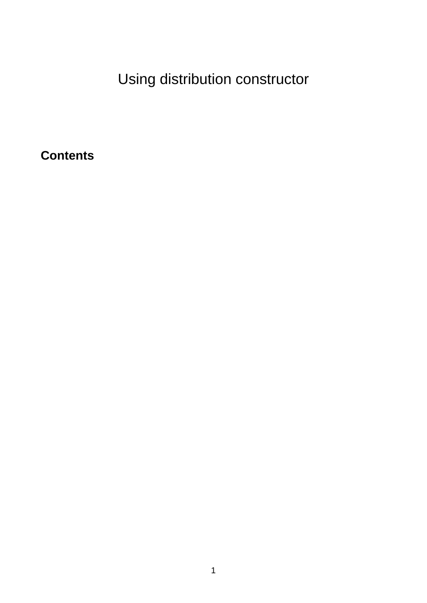Using distribution constructor

**Contents**